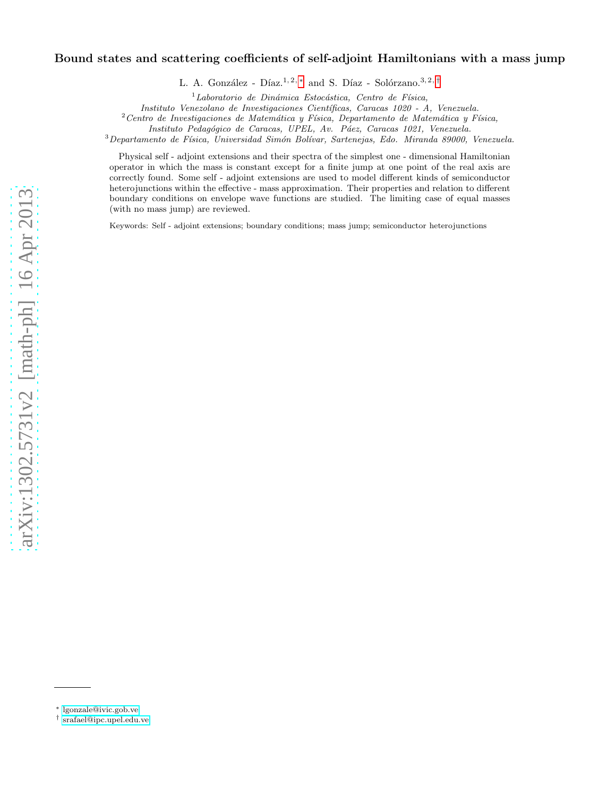# Bound states and scattering coefficients of self-adjoint Hamiltonians with a mass jump

L. A. González - Díaz.<sup>1, 2, \*</sup> and S. Díaz - Solórzano.<sup>3, 2, [†](#page-0-1)</sup>

 $1$ Laboratorio de Dinámica Estocástica, Centro de Física,

Instituto Venezolano de Investigaciones Científicas, Caracas 1020 - A, Venezuela.

 $2$ Centro de Investigaciones de Matemática y Física, Departamento de Matemática y Física,

Instituto Pedagógico de Caracas, UPEL, Av. Páez, Caracas 1021, Venezuela.

 $3$ Departamento de Física, Universidad Simón Bolívar, Sartenejas, Edo. Miranda 89000, Venezuela.

Physical self - adjoint extensions and their spectra of the simplest one - dimensional Hamiltonian operator in which the mass is constant except for a finite jump at one point of the real axis are correctly found. Some self - adjoint extensions are used to model different kinds of semiconductor heterojunctions within the effective - mass approximation. Their properties and relation to different boundary conditions on envelope wave functions are studied. The limiting case of equal masses (with no mass jump) are reviewed.

Keywords: Self - adjoint extensions; boundary conditions; mass jump; semiconductor heterojunctions

<span id="page-0-0"></span><sup>∗</sup> [lgonzale@ivic.gob.ve](mailto:lgonzale@ivic.gob.ve)

<span id="page-0-1"></span><sup>†</sup> [srafael@ipc.upel.edu.ve](mailto:srafael@ipc.upel.edu.ve)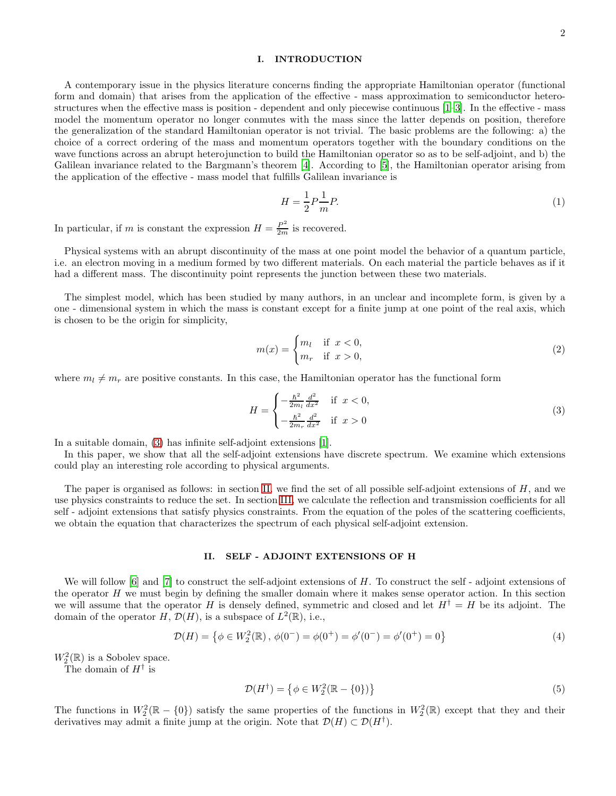## I. INTRODUCTION

A contemporary issue in the physics literature concerns finding the appropriate Hamiltonian operator (functional form and domain) that arises from the application of the effective - mass approximation to semiconductor heterostructures when the effective mass is position - dependent and only piecewise continuous [\[1](#page-6-0)[–3\]](#page-6-1). In the effective - mass model the momentum operator no longer conmutes with the mass since the latter depends on position, therefore the generalization of the standard Hamiltonian operator is not trivial. The basic problems are the following: a) the choice of a correct ordering of the mass and momentum operators together with the boundary conditions on the wave functions across an abrupt heterojunction to build the Hamiltonian operator so as to be self-adjoint, and b) the Galilean invariance related to the Bargmann's theorem [\[4\]](#page-6-2). According to [\[5\]](#page-6-3), the Hamiltonian operator arising from the application of the effective - mass model that fulfills Galilean invariance is

$$
H = \frac{1}{2}P\frac{1}{m}P.\tag{1}
$$

In particular, if m is constant the expression  $H = \frac{P^2}{2m}$  is recovered.

Physical systems with an abrupt discontinuity of the mass at one point model the behavior of a quantum particle, i.e. an electron moving in a medium formed by two different materials. On each material the particle behaves as if it had a different mass. The discontinuity point represents the junction between these two materials.

The simplest model, which has been studied by many authors, in an unclear and incomplete form, is given by a one - dimensional system in which the mass is constant except for a finite jump at one point of the real axis, which is chosen to be the origin for simplicity,

$$
m(x) = \begin{cases} m_l & \text{if } x < 0, \\ m_r & \text{if } x > 0, \end{cases}
$$
 (2)

where  $m_l \neq m_r$  are positive constants. In this case, the Hamiltonian operator has the functional form

<span id="page-1-0"></span>
$$
H = \begin{cases} -\frac{\hbar^2}{2m_l} \frac{d^2}{dx^2} & \text{if } x < 0, \\ -\frac{\hbar^2}{2m_r} \frac{d^2}{dx^2} & \text{if } x > 0 \end{cases}
$$
 (3)

In a suitable domain, [\(3\)](#page-1-0) has infinite self-adjoint extensions [\[1\]](#page-6-0).

In this paper, we show that all the self-adjoint extensions have discrete spectrum. We examine which extensions could play an interesting role according to physical arguments.

The paper is organised as follows: in section [II,](#page-1-1) we find the set of all possible self-adjoint extensions of H, and we use physics constraints to reduce the set. In section [III,](#page-3-0) we calculate the reflection and transmission coefficients for all self - adjoint extensions that satisfy physics constraints. From the equation of the poles of the scattering coefficients, we obtain the equation that characterizes the spectrum of each physical self-adjoint extension.

### <span id="page-1-1"></span>II. SELF - ADJOINT EXTENSIONS OF H

We will follow  $[6]$  and  $[7]$  to construct the self-adjoint extensions of H. To construct the self-adjoint extensions of the operator  $H$  we must begin by defining the smaller domain where it makes sense operator action. In this section we will assume that the operator H is densely defined, symmetric and closed and let  $H^{\dagger} = H$  be its adjoint. The domain of the operator  $H, \mathcal{D}(H)$ , is a subspace of  $L^2(\mathbb{R})$ , i.e.,

$$
\mathcal{D}(H) = \{ \phi \in W_2^2(\mathbb{R}), \phi(0^-) = \phi(0^+) = \phi'(0^-) = \phi'(0^+) = 0 \}
$$
\n<sup>(4)</sup>

 $W_2^2(\mathbb{R})$  is a Sobolev space.

The domain of  $H^{\dagger}$  is

$$
\mathcal{D}(H^{\dagger}) = \left\{ \phi \in W_2^2(\mathbb{R} - \{0\}) \right\} \tag{5}
$$

The functions in  $W_2^2(\mathbb{R} - \{0\})$  satisfy the same properties of the functions in  $W_2^2(\mathbb{R})$  except that they and their derivatives may admit a finite jump at the origin. Note that  $\mathcal{D}(H) \subset \mathcal{D}(H^{\dagger})$ .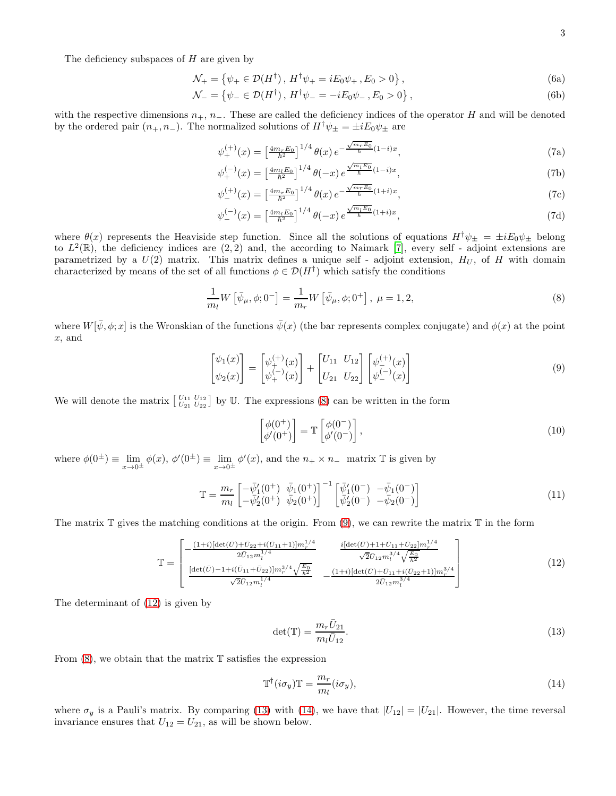The deficiency subspaces of  $H$  are given by

$$
\mathcal{N}_{+} = \left\{ \psi_{+} \in \mathcal{D}(H^{\dagger}), H^{\dagger} \psi_{+} = iE_{0} \psi_{+}, E_{0} > 0 \right\},\tag{6a}
$$

$$
\mathcal{N}_{-} = \{ \psi_{-} \in \mathcal{D}(H^{\dagger}), H^{\dagger} \psi_{-} = -iE_{0} \psi_{-}, E_{0} > 0 \},\tag{6b}
$$

with the respective dimensions  $n_+$ ,  $n_-$ . These are called the deficiency indices of the operator H and will be denoted by the ordered pair  $(n_+, n_-)$ . The normalized solutions of  $H^{\dagger} \psi_{\pm} = \pm i E_0 \psi_{\pm}$  are

$$
\psi_{+}^{(+)}(x) = \left[\frac{4m_r E_0}{\hbar^2}\right]^{1/4} \theta(x) e^{-\frac{\sqrt{m_r E_0}}{\hbar}(1-i)x},\tag{7a}
$$

$$
\psi_{+}^{(-)}(x) = \left[\frac{4m_l E_0}{\hbar^2}\right]^{1/4} \theta(-x) e^{\frac{\sqrt{m_l E_0}}{\hbar}(1-i)x},\tag{7b}
$$

$$
\psi_{-}^{(+)}(x) = \left[\frac{4m_r E_0}{\hbar^2}\right]^{1/4} \theta(x) e^{-\frac{\sqrt{m_r E_0}}{\hbar}(1+i)x},\tag{7c}
$$

$$
\psi_{-}^{(-)}(x) = \left[\frac{4m_l E_0}{\hbar^2}\right]^{1/4} \theta(-x) e^{\frac{\sqrt{m_l E_0}}{\hbar}(1+i)x},\tag{7d}
$$

where  $\theta(x)$  represents the Heaviside step function. Since all the solutions of equations  $H^{\dagger}\psi_{\pm} = \pm iE_0\psi_{\pm}$  belong to  $L^2(\mathbb{R})$ , the deficiency indices are  $(2, 2)$  and, the according to Naimark [\[7\]](#page-6-5), every self - adjoint extensions are parametrized by a  $U(2)$  matrix. This matrix defines a unique self - adjoint extension,  $H_U$ , of H with domain characterized by means of the set of all functions  $\phi \in \mathcal{D}(H^{\dagger})$  which satisfy the conditions

<span id="page-2-0"></span>
$$
\frac{1}{m_l} W\left[\bar{\psi}_{\mu}, \phi; 0^{-}\right] = \frac{1}{m_r} W\left[\bar{\psi}_{\mu}, \phi; 0^{+}\right], \ \mu = 1, 2, \tag{8}
$$

where  $W[\bar{\psi}, \phi; x]$  is the Wronskian of the functions  $\bar{\psi}(x)$  (the bar represents complex conjugate) and  $\phi(x)$  at the point x, and

<span id="page-2-1"></span>
$$
\begin{bmatrix} \psi_1(x) \\ \psi_2(x) \end{bmatrix} = \begin{bmatrix} \psi_+^{(+)}(x) \\ \psi_+^{(-)}(x) \end{bmatrix} + \begin{bmatrix} U_{11} & U_{12} \\ U_{21} & U_{22} \end{bmatrix} \begin{bmatrix} \psi_-^{(+)}(x) \\ \psi_-^{(-)}(x) \end{bmatrix}
$$
(9)

We will denote the matrix  $\begin{bmatrix} U_{11} & U_{12} \\ U_{21} & U_{22} \end{bmatrix}$  by U. The expressions [\(8\)](#page-2-0) can be written in the form

<span id="page-2-5"></span>
$$
\begin{bmatrix} \phi(0^+) \\ \phi'(0^+) \end{bmatrix} = \mathbb{T} \begin{bmatrix} \phi(0^-) \\ \phi'(0^-) \end{bmatrix},\tag{10}
$$

where  $\phi(0^{\pm}) \equiv \lim_{x \to 0^{\pm}} \phi(x)$ ,  $\phi'(0^{\pm}) \equiv \lim_{x \to 0^{\pm}} \phi'(x)$ , and the  $n_+ \times n_-$  matrix T is given by

<span id="page-2-6"></span>
$$
\mathbb{T} = \frac{m_r}{m_l} \begin{bmatrix} -\bar{\psi}'_1(0^+) & \bar{\psi}_1(0^+) \\ -\bar{\psi}'_2(0^+) & \bar{\psi}_2(0^+) \end{bmatrix}^{-1} \begin{bmatrix} \bar{\psi}'_1(0^-) & -\bar{\psi}_1(0^-) \\ \bar{\psi}'_2(0^-) & -\bar{\psi}_2(0^-) \end{bmatrix}
$$
(11)

The matrix  $\mathbb T$  gives the matching conditions at the origin. From [\(9\)](#page-2-1), we can rewrite the matrix  $\mathbb T$  in the form

<span id="page-2-2"></span>
$$
\mathbb{T} = \begin{bmatrix} -\frac{(1+i)[\det(\bar{U}) + \bar{U}_{22} + i(\bar{U}_{11} + 1)]m_r^{1/4}}{2\bar{U}_{12}m_l^{1/4}} & \frac{i[\det(\bar{U}) + 1 + \bar{U}_{11} + \bar{U}_{22}]m_r^{1/4}}{\sqrt{2}\bar{U}_{12}m_l^{3/4}\sqrt{\frac{E_0}{h^2}}}\\ \frac{[\det(\bar{U}) - 1 + i(\bar{U}_{11} + \bar{U}_{22})]m_r^{3/4}\sqrt{\frac{E_0}{h^2}}}{\sqrt{2}\bar{U}_{12}m_l^{1/4}} & -\frac{(1+i)[\det(\bar{U}) + \bar{U}_{11} + i(\bar{U}_{22} + 1)]m_r^{3/4}}{2\bar{U}_{12}m_l^{3/4}} \end{bmatrix} \tag{12}
$$

The determinant of [\(12\)](#page-2-2) is given by

<span id="page-2-3"></span>
$$
\det(\mathbb{T}) = \frac{m_r \bar{U}_{21}}{m_l \bar{U}_{12}}.\tag{13}
$$

From  $(8)$ , we obtain that the matrix  $\mathbb T$  satisfies the expression

<span id="page-2-4"></span>
$$
\mathbb{T}^{\dagger}(i\sigma_y)\mathbb{T} = \frac{m_r}{m_l}(i\sigma_y),\tag{14}
$$

where  $\sigma_y$  is a Pauli's matrix. By comparing [\(13\)](#page-2-3) with [\(14\)](#page-2-4), we have that  $|U_{12}| = |U_{21}|$ . However, the time reversal invariance ensures that  $U_{12} = U_{21}$ , as will be shown below.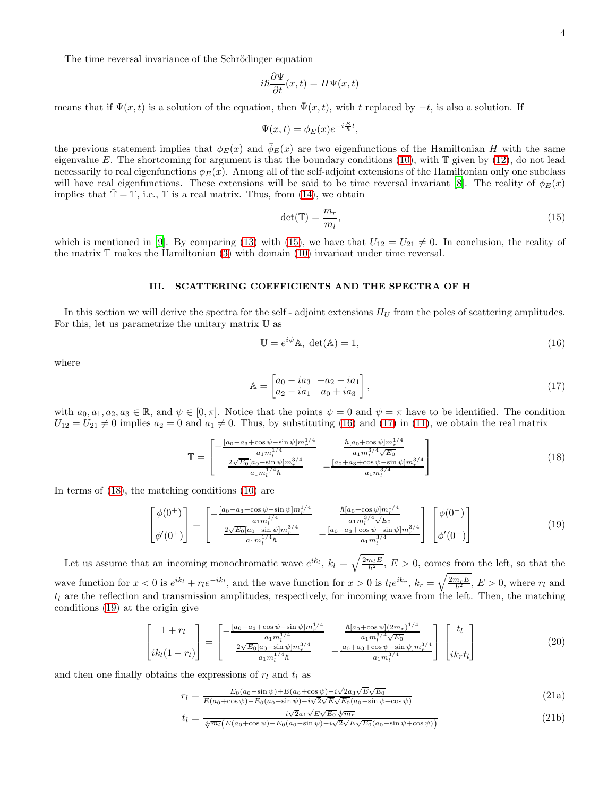The time reversal invariance of the Schrödinger equation

$$
i\hbar \frac{\partial \Psi}{\partial t}(x,t) = H\Psi(x,t)
$$

means that if  $\Psi(x, t)$  is a solution of the equation, then  $\Psi(x, t)$ , with t replaced by  $-t$ , is also a solution. If

$$
\Psi(x,t) = \phi_E(x)e^{-i\frac{E}{\hbar}t},
$$

the previous statement implies that  $\phi_E(x)$  and  $\bar{\phi}_E(x)$  are two eigenfunctions of the Hamiltonian H with the same eigenvalue E. The shortcoming for argument is that the boundary conditions  $(10)$ , with  $\mathbb T$  given by  $(12)$ , do not lead necessarily to real eigenfunctions  $\phi_E(x)$ . Among all of the self-adjoint extensions of the Hamiltonian only one subclass will have real eigenfunctions. These extensions will be said to be time reversal invariant [\[8](#page-6-6)]. The reality of  $\phi_E(x)$ implies that  $\mathbb{T} = \mathbb{T}$ , i.e.,  $\mathbb{T}$  is a real matrix. Thus, from [\(14\)](#page-2-4), we obtain

<span id="page-3-1"></span>
$$
\det(\mathbb{T}) = \frac{m_r}{m_l},\tag{15}
$$

which is mentioned in [\[9\]](#page-6-7). By comparing [\(13\)](#page-2-3) with [\(15\)](#page-3-1), we have that  $U_{12} = U_{21} \neq 0$ . In conclusion, the reality of the matrix  $\mathbb T$  makes the Hamiltonian [\(3\)](#page-1-0) with domain [\(10\)](#page-2-5) invariant under time reversal.

## <span id="page-3-0"></span>III. SCATTERING COEFFICIENTS AND THE SPECTRA OF H

In this section we will derive the spectra for the self-adjoint extensions  $H_U$  from the poles of scattering amplitudes. For this, let us parametrize the unitary matrix U as

<span id="page-3-2"></span>
$$
\mathbb{U} = e^{i\psi} \mathbb{A}, \ \det(\mathbb{A}) = 1,\tag{16}
$$

where

<span id="page-3-3"></span>
$$
\mathbb{A} = \begin{bmatrix} a_0 - ia_3 & -a_2 - ia_1 \\ a_2 - ia_1 & a_0 + ia_3 \end{bmatrix},\tag{17}
$$

 $1/4$ 

with  $a_0, a_1, a_2, a_3 \in \mathbb{R}$ , and  $\psi \in [0, \pi]$ . Notice that the points  $\psi = 0$  and  $\psi = \pi$  have to be identified. The condition  $U_{12} = U_{21} \neq 0$  implies  $a_2 = 0$  and  $a_1 \neq 0$ . Thus, by substituting [\(16\)](#page-3-2) and [\(17\)](#page-3-3) in [\(11\)](#page-2-6), we obtain the real matrix

<span id="page-3-4"></span>
$$
\mathbb{T} = \begin{bmatrix} -\frac{[a_0 - a_3 + \cos\psi - \sin\psi]m_r^{1/4}}{a_1 m_l^{1/4}} & \frac{\hbar [a_0 + \cos\psi]m_r^{1/4}}{a_1 m_l^{3/4} \sqrt{E_0}}\\ \frac{2\sqrt{E_0}[a_0 - \sin\psi]m_r^{3/4}}{a_1 m_l^{1/4}\hbar} & -\frac{[a_0 + a_3 + \cos\psi - \sin\psi]m_r^{3/4}}{a_1 m_l^{3/4}} \end{bmatrix} \tag{18}
$$

In terms of [\(18\)](#page-3-4), the matching conditions [\(10\)](#page-2-5) are

<span id="page-3-5"></span>
$$
\begin{bmatrix}\n\phi(0^+) \\
\phi'(0^+)\n\end{bmatrix} = \begin{bmatrix}\n-\frac{[a_0 - a_3 + \cos \psi - \sin \psi]m_r^{1/4}}{a_1 m_l^{1/4}} & \frac{\hbar [a_0 + \cos \psi]m_r^{1/4}}{a_1 m_l^{3/4} \sqrt{E_0}} \\
\frac{2\sqrt{E_0} [a_0 - \sin \psi]m_r^{3/4}}{a_1 m_l^{1/4} \hbar} & -\frac{[a_0 + a_3 + \cos \psi - \sin \psi]m_r^{3/4}}{a_1 m_l^{3/4}}\n\end{bmatrix} \begin{bmatrix}\n\phi(0^-) \\
\phi'(0^-)\n\end{bmatrix}
$$
\n(19)

Let us assume that an incoming monochromatic wave  $e^{ik_l}$ ,  $k_l = \sqrt{\frac{2m_lE}{\hbar^2}}$ ,  $E > 0$ , comes from the left, so that the wave function for  $x < 0$  is  $e^{ik_l} + r_l e^{-ik_l}$ , and the wave function for  $x > 0$  is  $t_l e^{ik_r}$ ,  $k_r = \sqrt{\frac{2m_r E}{\hbar^2}}$ ,  $E > 0$ , where  $r_l$  and  $t_l$  are the reflection and transmission amplitudes, respectively, for incoming wave from the left. Then, the matching conditions [\(19\)](#page-3-5) at the origin give

$$
\begin{bmatrix} 1+r_l \\ i k_l(1-r_l) \end{bmatrix} = \begin{bmatrix} -\frac{[a_0 - a_3 + \cos\psi - \sin\psi]m_r^{1/4}}{a_1 m_l^{1/4}} & \frac{\hbar [a_0 + \cos\psi] (2m_r)^{1/4}}{a_1 m_l^{3/4} \sqrt{E_0}} \\ \frac{2\sqrt{E_0} [a_0 - \sin\psi]m_r^{3/4}}{a_1 m_l^{1/4} \hbar} & -\frac{[a_0 + a_3 + \cos\psi - \sin\psi]m_r^{3/4}}{a_1 m_l^{3/4}} \end{bmatrix} \begin{bmatrix} t_l \\ i k_r t_l \end{bmatrix}
$$
(20)

and then one finally obtains the expressions of  $r_l$  and  $t_l$  as

<span id="page-3-6"></span>
$$
r_l = \frac{E_0(a_0 - \sin \psi) + E(a_0 + \cos \psi) - i\sqrt{2}a_3\sqrt{E}\sqrt{E_0}}{E(a_0 + \cos \psi) - E_0(a_0 - \sin \psi) - i\sqrt{2}\sqrt{E}\sqrt{E_0}(a_0 - \sin \psi + \cos \psi)}
$$
(21a)

$$
t_l = \frac{i\sqrt{2}a_1\sqrt{E}\sqrt{E_0}\sqrt[4]{m_r}}{\sqrt[4]{m_l}\left(E(a_0 + \cos\psi) - E_0(a_0 - \sin\psi) - i\sqrt{2}\sqrt{E}\sqrt{E_0(a_0 - \sin\psi + \cos\psi)}\right)}
$$
(21b)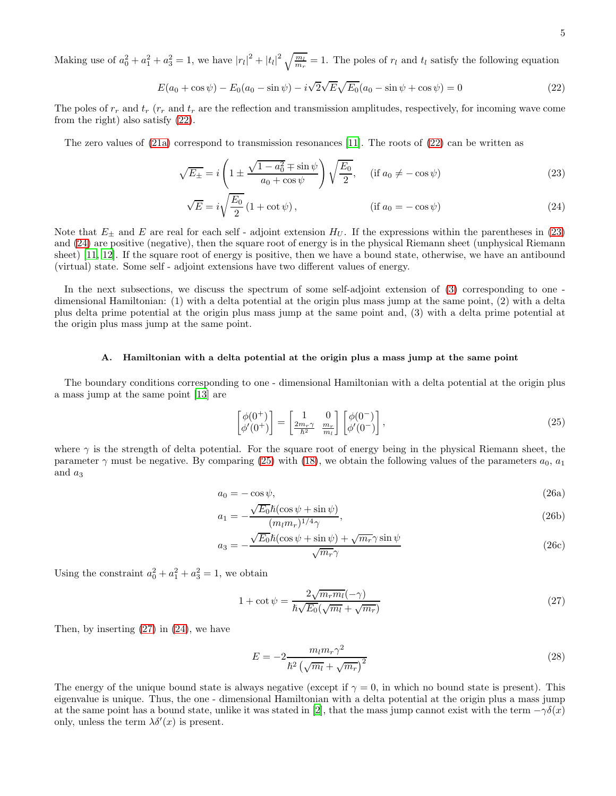Making use of  $a_0^2 + a_1^2 + a_3^2 = 1$ , we have  $|r_l|^2 + |t_l|^2 \sqrt{\frac{m_l}{m_r}} = 1$ . The poles of  $r_l$  and  $t_l$  satisfy the following equation

<span id="page-4-0"></span>
$$
E(a_0 + \cos \psi) - E_0(a_0 - \sin \psi) - i\sqrt{2\sqrt{E}\sqrt{E_0}}(a_0 - \sin \psi + \cos \psi) = 0
$$
\n(22)

The poles of  $r_r$  and  $t_r$  ( $r_r$  and  $t_r$  are the reflection and transmission amplitudes, respectively, for incoming wave come from the right) also satisfy [\(22\)](#page-4-0).

The zero values of  $(21a)$  correspond to transmission resonances [\[11](#page-6-8)]. The roots of  $(22)$  can be written as

$$
\sqrt{E_{\pm}} = i \left( 1 \pm \frac{\sqrt{1 - a_0^2 + \sin \psi}}{a_0 + \cos \psi} \right) \sqrt{\frac{E_0}{2}}, \quad (\text{if } a_0 \neq -\cos \psi)
$$
\n
$$
(23)
$$

<span id="page-4-2"></span><span id="page-4-1"></span>
$$
\sqrt{E} = i\sqrt{\frac{E_0}{2}} \left(1 + \cot \psi\right),\qquad \qquad (\text{if } a_0 = -\cos \psi)
$$
\n(24)

Note that  $E_{\pm}$  and E are real for each self - adjoint extension  $H_U$ . If the expressions within the parentheses in [\(23\)](#page-4-1) and [\(24\)](#page-4-2) are positive (negative), then the square root of energy is in the physical Riemann sheet (unphysical Riemann sheet) [\[11,](#page-6-8) [12\]](#page-6-9). If the square root of energy is positive, then we have a bound state, otherwise, we have an antibound (virtual) state. Some self - adjoint extensions have two different values of energy.

In the next subsections, we discuss the spectrum of some self-adjoint extension of [\(3\)](#page-1-0) corresponding to one dimensional Hamiltonian: (1) with a delta potential at the origin plus mass jump at the same point, (2) with a delta plus delta prime potential at the origin plus mass jump at the same point and, (3) with a delta prime potential at the origin plus mass jump at the same point.

### A. Hamiltonian with a delta potential at the origin plus a mass jump at the same point

The boundary conditions corresponding to one - dimensional Hamiltonian with a delta potential at the origin plus a mass jump at the same point [\[13\]](#page-6-10) are

<span id="page-4-3"></span>
$$
\begin{bmatrix}\n\phi(0^+) \\
\phi'(0^+)\n\end{bmatrix} = \begin{bmatrix}\n1 & 0 \\
\frac{2m_r\gamma}{\hbar^2} & \frac{m_r}{m_l}\n\end{bmatrix} \begin{bmatrix}\n\phi(0^-) \\
\phi'(0^-)\n\end{bmatrix},
$$
\n(25)

where  $\gamma$  is the strength of delta potential. For the square root of energy being in the physical Riemann sheet, the parameter  $\gamma$  must be negative. By comparing [\(25\)](#page-4-3) with [\(18\)](#page-3-4), we obtain the following values of the parameters  $a_0, a_1$ and  $a_3$ 

$$
a_0 = -\cos\psi,\tag{26a}
$$

$$
a_1 = -\frac{\sqrt{E_0}\hbar(\cos\psi + \sin\psi)}{(m_l m_r)^{1/4}\gamma},\tag{26b}
$$

$$
a_3 = -\frac{\sqrt{E_0}\hbar(\cos\psi + \sin\psi) + \sqrt{m_r}\gamma\sin\psi}{\sqrt{m_r}\gamma}
$$
\n(26c)

Using the constraint  $a_0^2 + a_1^2 + a_3^2 = 1$ , we obtain

<span id="page-4-4"></span>
$$
1 + \cot \psi = \frac{2\sqrt{m_r m_l}(-\gamma)}{\hbar \sqrt{E_0}(\sqrt{m_l} + \sqrt{m_r})}
$$
\n(27)

Then, by inserting  $(27)$  in  $(24)$ , we have

<span id="page-4-5"></span>
$$
E = -2\frac{m_l m_r \gamma^2}{\hbar^2 \left(\sqrt{m_l} + \sqrt{m_r}\right)^2} \tag{28}
$$

The energy of the unique bound state is always negative (except if  $\gamma = 0$ , in which no bound state is present). This eigenvalue is unique. Thus, the one - dimensional Hamiltonian with a delta potential at the origin plus a mass jump at the same point has a bound state, unlike it was stated in [\[2](#page-6-11)], that the mass jump cannot exist with the term  $-\gamma\delta(x)$ only, unless the term  $\lambda \delta'(x)$  is present.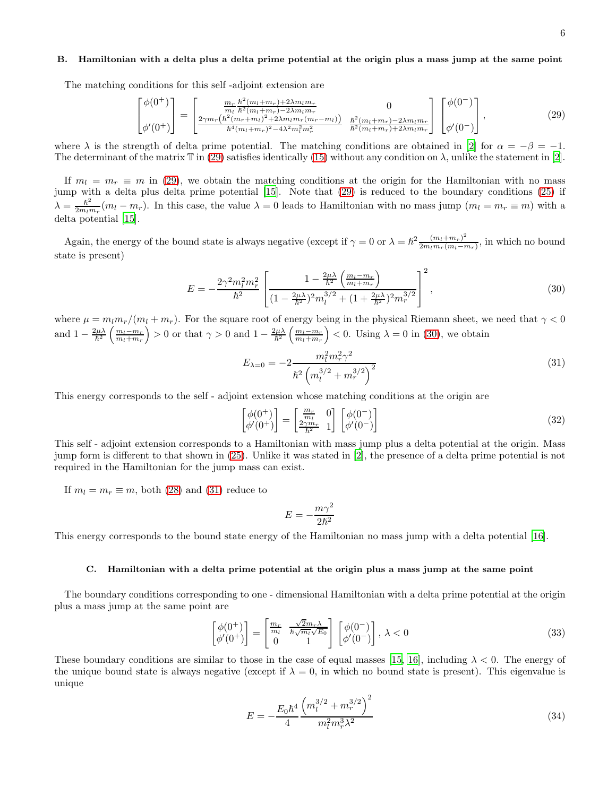#### B. Hamiltonian with a delta plus a delta prime potential at the origin plus a mass jump at the same point

The matching conditions for this self -adjoint extension are

<span id="page-5-0"></span>
$$
\begin{bmatrix}\n\phi(0^+) \\
\phi'(0^+)\n\end{bmatrix} = \begin{bmatrix}\n\frac{m_r}{m_l} \frac{\hbar^2 (m_l + m_r) + 2\lambda m_l m_r}{\hbar^2 (m_l + m_r) - 2\lambda m_l m_r} & 0 \\
\frac{2\gamma m_r (\hbar^2 (m_r + m_l)^2 + 2\lambda m_l m_r (m_r - m_l))}{\hbar^4 (m_l + m_r)^2 - 4\lambda^2 m_l^2 m_r^2} & \frac{\hbar^2 (m_l + m_r) - 2\lambda m_l m_r}{\hbar^2 (m_l + m_r) + 2\lambda m_l m_r}\n\end{bmatrix} \begin{bmatrix}\n\phi(0^-) \\
\phi'(0^-)\n\end{bmatrix},
$$
\n(29)

where  $\lambda$  is the strength of delta prime potential. The matching conditions are obtained in [\[2](#page-6-11)] for  $\alpha = -\beta = -1$ . The determinant of the matrix  $\mathbb T$  in [\(29\)](#page-5-0) satisfies identically [\(15\)](#page-3-1) without any condition on  $\lambda$ , unlike the statement in [\[2\]](#page-6-11).

If  $m_l = m_r \equiv m$  in [\(29\)](#page-5-0), we obtain the matching conditions at the origin for the Hamiltonian with no mass jump with a delta plus delta prime potential [\[15](#page-6-12)]. Note that [\(29\)](#page-5-0) is reduced to the boundary conditions [\(25\)](#page-4-3) if  $\lambda = \frac{\hbar^2}{2m}$  $\frac{h^2}{2m_l m_r}(m_l - m_r)$ . In this case, the value  $\lambda = 0$  leads to Hamiltonian with no mass jump  $(m_l = m_r \equiv m)$  with a delta potential [\[15\]](#page-6-12).

Again, the energy of the bound state is always negative (except if  $\gamma = 0$  or  $\lambda = \hbar^2 \frac{(m_l + m_r)^2}{2m_i m_s (m_l - r)}$  $\frac{(m_l+m_r)}{2m_lm_r(m_l-m_r)}$ , in which no bound state is present)

<span id="page-5-1"></span>
$$
E = -\frac{2\gamma^2 m_l^2 m_r^2}{\hbar^2} \left[ \frac{1 - \frac{2\mu\lambda}{\hbar^2} \left( \frac{m_l - m_r}{m_l + m_r} \right)}{(1 - \frac{2\mu\lambda}{\hbar^2})^2 m_l^{3/2} + (1 + \frac{2\mu\lambda}{\hbar^2})^2 m_r^{3/2}} \right]^2, \tag{30}
$$

where  $\mu = m_l m_r/(m_l + m_r)$ . For the square root of energy being in the physical Riemann sheet, we need that  $\gamma < 0$ and  $1 - \frac{2\mu\lambda}{\hbar^2} \left( \frac{m_l - m_r}{m_l + m_r} \right) > 0$  or that  $\gamma > 0$  and  $1 - \frac{2\mu\lambda}{\hbar^2} \left( \frac{m_l - m_r}{m_l + m_r} \right) < 0$ . Using  $\lambda = 0$  in [\(30\)](#page-5-1), we obtain

<span id="page-5-2"></span>
$$
E_{\lambda=0} = -2 \frac{m_l^2 m_r^2 \gamma^2}{\hbar^2 \left( m_l^{3/2} + m_r^{3/2} \right)^2}
$$
(31)

This energy corresponds to the self - adjoint extension whose matching conditions at the origin are

$$
\begin{bmatrix}\n\phi(0^+) \\
\phi'(0^+)\n\end{bmatrix} = \begin{bmatrix}\n\frac{m_r}{m_l} & 0 \\
\frac{2\gamma m_r}{\hbar^2} & 1\n\end{bmatrix} \begin{bmatrix}\n\phi(0^-) \\
\phi'(0^-)\n\end{bmatrix}
$$
\n(32)

This self - adjoint extension corresponds to a Hamiltonian with mass jump plus a delta potential at the origin. Mass jump form is different to that shown in [\(25\)](#page-4-3). Unlike it was stated in [\[2](#page-6-11)], the presence of a delta prime potential is not required in the Hamiltonian for the jump mass can exist.

If  $m_l = m_r \equiv m$ , both [\(28\)](#page-4-5) and [\(31\)](#page-5-2) reduce to

$$
E=-\frac{m\gamma^2}{2\hbar^2}
$$

This energy corresponds to the bound state energy of the Hamiltonian no mass jump with a delta potential [\[16](#page-6-13)].

#### C. Hamiltonian with a delta prime potential at the origin plus a mass jump at the same point

The boundary conditions corresponding to one - dimensional Hamiltonian with a delta prime potential at the origin plus a mass jump at the same point are

$$
\begin{bmatrix}\n\phi(0^+) \\
\phi'(0^+)\n\end{bmatrix} = \begin{bmatrix}\n\frac{m_r}{m_l} & \frac{\sqrt{2}m_r\lambda}{\hbar\sqrt{m_l}\sqrt{E_0}} \\
0 & 1\n\end{bmatrix} \begin{bmatrix}\n\phi(0^-) \\
\phi'(0^-)\n\end{bmatrix}, \lambda < 0
$$
\n(33)

These boundary conditions are similar to those in the case of equal masses [\[15](#page-6-12), [16\]](#page-6-13), including  $\lambda < 0$ . The energy of the unique bound state is always negative (except if  $\lambda = 0$ , in which no bound state is present). This eigenvalue is unique

<span id="page-5-3"></span>
$$
E = -\frac{E_0 \hbar^4}{4} \frac{\left(m_l^{3/2} + m_r^{3/2}\right)^2}{m_l^2 m_r^3 \lambda^2} \tag{34}
$$